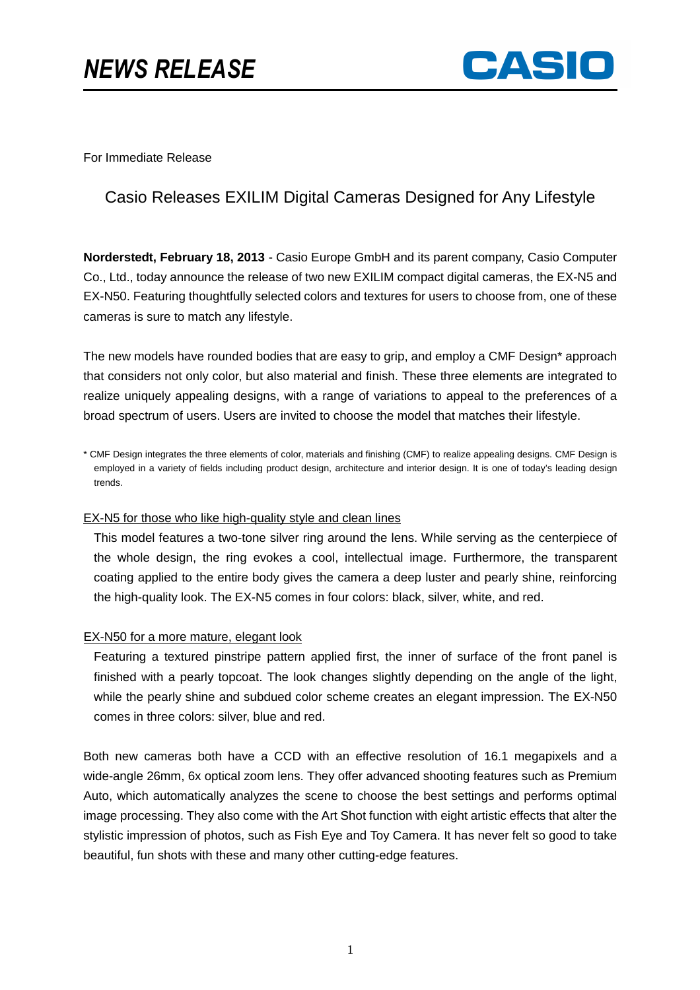# *NEWS RELEASE*



For Immediate Release

## Casio Releases EXILIM Digital Cameras Designed for Any Lifestyle

**Norderstedt, February 18, 2013** - Casio Europe GmbH and its parent company, Casio Computer Co., Ltd., today announce the release of two new EXILIM compact digital cameras, the EX-N5 and EX-N50. Featuring thoughtfully selected colors and textures for users to choose from, one of these cameras is sure to match any lifestyle.

The new models have rounded bodies that are easy to grip, and employ a CMF Design\* approach that considers not only color, but also material and finish. These three elements are integrated to realize uniquely appealing designs, with a range of variations to appeal to the preferences of a broad spectrum of users. Users are invited to choose the model that matches their lifestyle.

\* CMF Design integrates the three elements of color, materials and finishing (CMF) to realize appealing designs. CMF Design is employed in a variety of fields including product design, architecture and interior design. It is one of today's leading design trends.

#### EX-N5 for those who like high-quality style and clean lines

This model features a two-tone silver ring around the lens. While serving as the centerpiece of the whole design, the ring evokes a cool, intellectual image. Furthermore, the transparent coating applied to the entire body gives the camera a deep luster and pearly shine, reinforcing the high-quality look. The EX-N5 comes in four colors: black, silver, white, and red.

#### EX-N50 for a more mature, elegant look

Featuring a textured pinstripe pattern applied first, the inner of surface of the front panel is finished with a pearly topcoat. The look changes slightly depending on the angle of the light, while the pearly shine and subdued color scheme creates an elegant impression. The EX-N50 comes in three colors: silver, blue and red.

Both new cameras both have a CCD with an effective resolution of 16.1 megapixels and a wide-angle 26mm, 6x optical zoom lens. They offer advanced shooting features such as Premium Auto, which automatically analyzes the scene to choose the best settings and performs optimal image processing. They also come with the Art Shot function with eight artistic effects that alter the stylistic impression of photos, such as Fish Eye and Toy Camera. It has never felt so good to take beautiful, fun shots with these and many other cutting-edge features.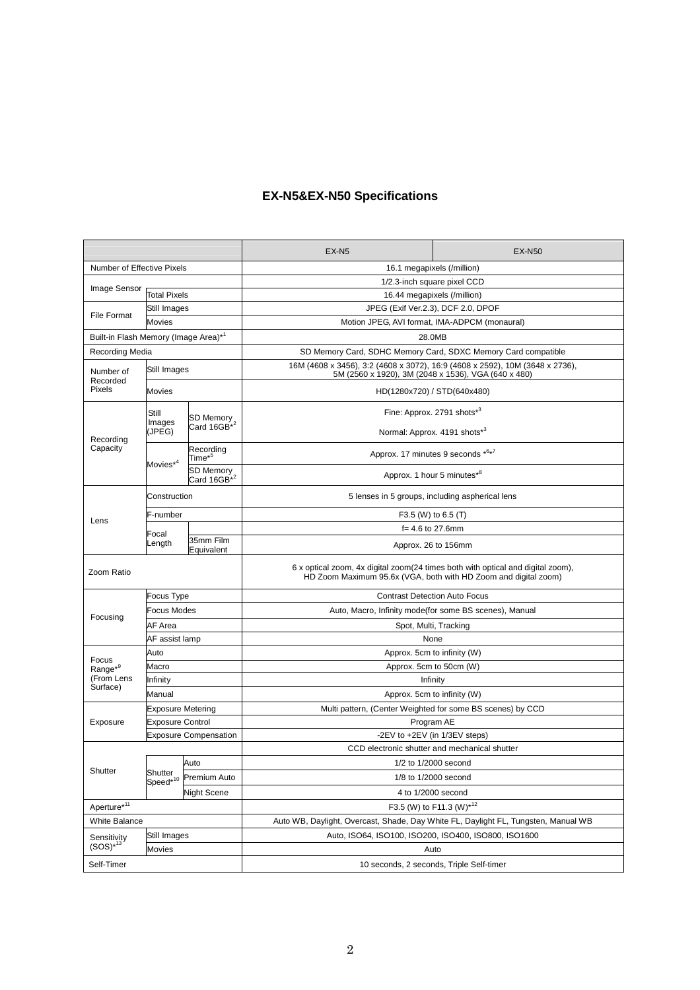### **EX-N5&EX-N50 Specifications**

|                                                        |                                 |                                      | $EX-NS$                                                                                                                                            | <b>EX-N50</b>                                              |  |
|--------------------------------------------------------|---------------------------------|--------------------------------------|----------------------------------------------------------------------------------------------------------------------------------------------------|------------------------------------------------------------|--|
| Number of Effective Pixels                             |                                 |                                      | 16.1 megapixels (/million)                                                                                                                         |                                                            |  |
|                                                        |                                 |                                      | 1/2.3-inch square pixel CCD                                                                                                                        |                                                            |  |
| Image Sensor                                           | <b>Total Pixels</b>             |                                      | 16.44 megapixels (/million)                                                                                                                        |                                                            |  |
| <b>File Format</b>                                     | Still Images                    |                                      | JPEG (Exif Ver.2.3), DCF 2.0, DPOF                                                                                                                 |                                                            |  |
|                                                        | <b>Movies</b>                   |                                      | Motion JPEG, AVI format, IMA-ADPCM (monaural)                                                                                                      |                                                            |  |
| Built-in Flash Memory (Image Area)* <sup>1</sup>       |                                 |                                      | 28.0MB                                                                                                                                             |                                                            |  |
| Recording Media                                        |                                 |                                      | SD Memory Card, SDHC Memory Card, SDXC Memory Card compatible                                                                                      |                                                            |  |
| Number of<br>Recorded<br>Pixels                        | Still Images                    |                                      | 16M (4608 x 3456), 3:2 (4608 x 3072), 16:9 (4608 x 2592), 10M (3648 x 2736),<br>5M (2560 x 1920), 3M (2048 x 1536), VGA (640 x 480)                |                                                            |  |
|                                                        | Movies                          |                                      | HD(1280x720) / STD(640x480)                                                                                                                        |                                                            |  |
| Recording<br>Capacity                                  | Still<br>Images<br>(JPEG)       | SD Memory<br>Card 16GB <sup>*2</sup> | Fine: Approx. 2791 shots <sup>*3</sup>                                                                                                             |                                                            |  |
|                                                        |                                 |                                      | Normal: Approx. 4191 shots*3                                                                                                                       |                                                            |  |
|                                                        | Movies <sup>*4</sup>            | Recording<br>Time $^{\star5}$        | Approx. 17 minutes 9 seconds *6*7                                                                                                                  |                                                            |  |
|                                                        |                                 | SD Memory<br>Card 16GB <sup>*2</sup> | Approx. 1 hour 5 minutes*8                                                                                                                         |                                                            |  |
| Lens                                                   | Construction                    |                                      | 5 lenses in 5 groups, including aspherical lens                                                                                                    |                                                            |  |
|                                                        | F-number                        |                                      |                                                                                                                                                    | F3.5 (W) to 6.5 (T)                                        |  |
|                                                        | Focal<br>Length                 |                                      | $f = 4.6$ to 27.6mm                                                                                                                                |                                                            |  |
|                                                        |                                 | 35mm Film<br>Equivalent              | Approx. 26 to 156mm                                                                                                                                |                                                            |  |
| Zoom Ratio                                             |                                 |                                      | 6 x optical zoom, 4x digital zoom(24 times both with optical and digital zoom),<br>HD Zoom Maximum 95.6x (VGA, both with HD Zoom and digital zoom) |                                                            |  |
|                                                        | Focus Type                      |                                      | <b>Contrast Detection Auto Focus</b>                                                                                                               |                                                            |  |
|                                                        | Focus Modes                     |                                      | Auto, Macro, Infinity mode(for some BS scenes), Manual                                                                                             |                                                            |  |
| Focusing                                               | AF Area                         |                                      | Spot, Multi, Tracking                                                                                                                              |                                                            |  |
|                                                        | AF assist lamp                  |                                      | None                                                                                                                                               |                                                            |  |
| Focus<br>Range* <sup>9</sup><br>(From Lens<br>Surface) | Auto                            |                                      | Approx. 5cm to infinity (W)                                                                                                                        |                                                            |  |
|                                                        | Macro                           |                                      | Approx. 5cm to 50cm (W)                                                                                                                            |                                                            |  |
|                                                        | Infinity                        |                                      | Infinity                                                                                                                                           |                                                            |  |
|                                                        | Manual                          |                                      |                                                                                                                                                    | Approx. 5cm to infinity (W)                                |  |
| Exposure                                               | <b>Exposure Metering</b>        |                                      |                                                                                                                                                    | Multi pattern, (Center Weighted for some BS scenes) by CCD |  |
|                                                        | <b>Exposure Control</b>         |                                      | Program AE                                                                                                                                         |                                                            |  |
|                                                        | <b>Exposure Compensation</b>    |                                      | -2EV to +2EV (in 1/3EV steps)                                                                                                                      |                                                            |  |
| Shutter                                                |                                 |                                      | CCD electronic shutter and mechanical shutter                                                                                                      |                                                            |  |
|                                                        |                                 | Auto                                 | 1/2 to 1/2000 second                                                                                                                               |                                                            |  |
|                                                        | Shutter<br>Speed <sup>*10</sup> | Premium Auto                         |                                                                                                                                                    | 1/8 to 1/2000 second                                       |  |
|                                                        |                                 | <b>Night Scene</b>                   |                                                                                                                                                    | 4 to 1/2000 second                                         |  |
| Aperture*11                                            |                                 |                                      | F3.5 (W) to F11.3 (W)*12                                                                                                                           |                                                            |  |
| <b>White Balance</b>                                   |                                 |                                      | Auto WB, Daylight, Overcast, Shade, Day White FL, Daylight FL, Tungsten, Manual WB                                                                 |                                                            |  |
| Sensitivity                                            | Still Images                    |                                      | Auto, ISO64, ISO100, ISO200, ISO400, ISO800, ISO1600                                                                                               |                                                            |  |
| $(SOS)*^{13}$                                          | Movies                          |                                      | Auto                                                                                                                                               |                                                            |  |
| Self-Timer                                             |                                 |                                      | 10 seconds, 2 seconds, Triple Self-timer                                                                                                           |                                                            |  |